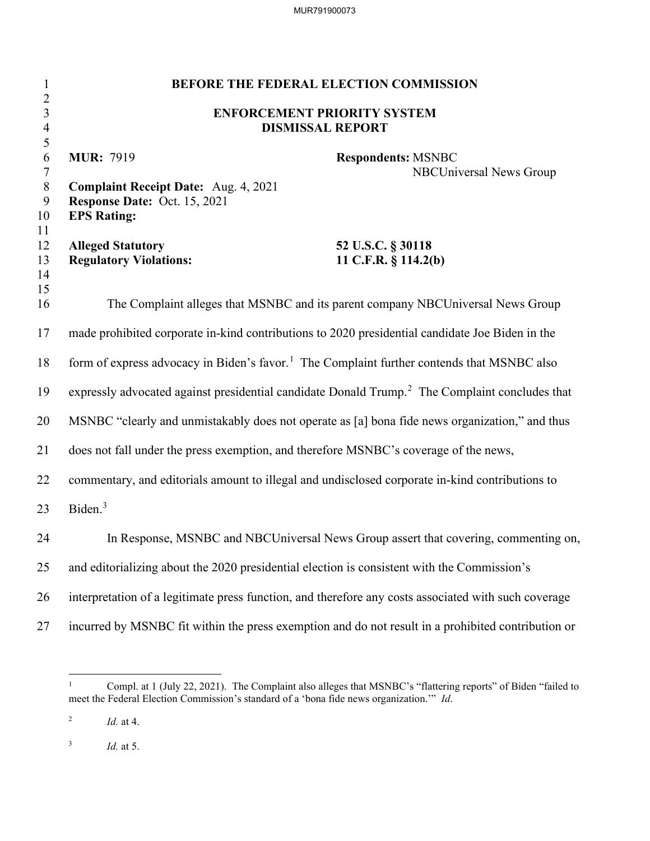MUR791900073

| $\mathbf{1}$                                       |                                                                                                                        | BEFORE THE FEDERAL ELECTION COMMISSION                                                                     |
|----------------------------------------------------|------------------------------------------------------------------------------------------------------------------------|------------------------------------------------------------------------------------------------------------|
| $\overline{c}$<br>$\mathfrak{Z}$<br>$\overline{4}$ | <b>ENFORCEMENT PRIORITY SYSTEM</b><br><b>DISMISSAL REPORT</b>                                                          |                                                                                                            |
| 5<br>6<br>$\tau$<br>$8\,$<br>9<br>10               | <b>MUR</b> : 7919<br><b>Complaint Receipt Date:</b> Aug. 4, 2021<br>Response Date: Oct. 15, 2021<br><b>EPS Rating:</b> | <b>Respondents: MSNBC</b><br><b>NBCUniversal News Group</b>                                                |
| 11<br>12<br>13<br>14<br>15                         | <b>Alleged Statutory</b><br><b>Regulatory Violations:</b>                                                              | 52 U.S.C. § 30118<br>11 C.F.R. § 114.2(b)                                                                  |
| 16                                                 |                                                                                                                        | The Complaint alleges that MSNBC and its parent company NBCUniversal News Group                            |
| 17                                                 | made prohibited corporate in-kind contributions to 2020 presidential candidate Joe Biden in the                        |                                                                                                            |
| 18                                                 | form of express advocacy in Biden's favor. <sup>1</sup> The Complaint further contends that MSNBC also                 |                                                                                                            |
| 19                                                 |                                                                                                                        | expressly advocated against presidential candidate Donald Trump. <sup>2</sup> The Complaint concludes that |
| 20                                                 | MSNBC "clearly and unmistakably does not operate as [a] bona fide news organization," and thus                         |                                                                                                            |
| 21                                                 | does not fall under the press exemption, and therefore MSNBC's coverage of the news,                                   |                                                                                                            |
| 22                                                 | commentary, and editorials amount to illegal and undisclosed corporate in-kind contributions to                        |                                                                                                            |
| 23                                                 | Biden. <sup>3</sup>                                                                                                    |                                                                                                            |
| 24                                                 |                                                                                                                        | In Response, MSNBC and NBCUniversal News Group assert that covering, commenting on,                        |
| 25                                                 | and editorializing about the 2020 presidential election is consistent with the Commission's                            |                                                                                                            |
| 26                                                 | interpretation of a legitimate press function, and therefore any costs associated with such coverage                   |                                                                                                            |
| 27                                                 |                                                                                                                        | incurred by MSNBC fit within the press exemption and do not result in a prohibited contribution or         |

3 *Id.* at 5.

<sup>&</sup>lt;sup>1</sup> Compl. at 1 (July 22, 2021). The Complaint also alleges that MSNBC's "flattering reports" of Biden "failed to meet the Federal Election Commission's standard of a 'bona fide news organization.'" *Id*.

<sup>2</sup> *Id.* at 4.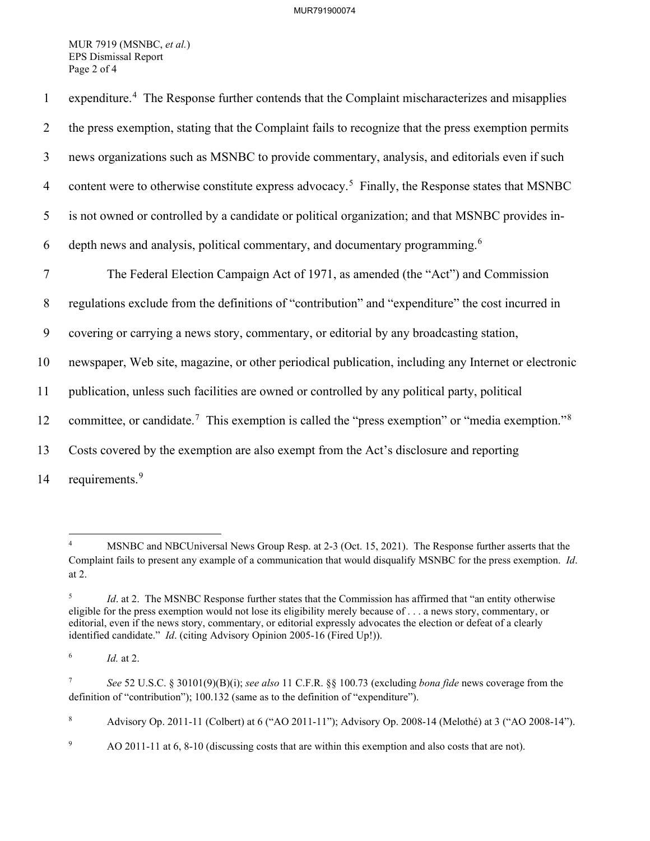## MUR791900074

MUR 7919 (MSNBC, *et al.*) EPS Dismissal Report Page 2 of 4

| $\mathbf{1}$   | expenditure. <sup>4</sup> The Response further contends that the Complaint mischaracterizes and misapplies              |
|----------------|-------------------------------------------------------------------------------------------------------------------------|
| 2              | the press exemption, stating that the Complaint fails to recognize that the press exemption permits                     |
| $\overline{3}$ | news organizations such as MSNBC to provide commentary, analysis, and editorials even if such                           |
| $\overline{4}$ | content were to otherwise constitute express advocacy. <sup>5</sup> Finally, the Response states that MSNBC             |
| 5              | is not owned or controlled by a candidate or political organization; and that MSNBC provides in-                        |
| 6              | depth news and analysis, political commentary, and documentary programming. <sup>6</sup>                                |
| $\overline{7}$ | The Federal Election Campaign Act of 1971, as amended (the "Act") and Commission                                        |
| 8              | regulations exclude from the definitions of "contribution" and "expenditure" the cost incurred in                       |
| 9              | covering or carrying a news story, commentary, or editorial by any broadcasting station,                                |
| 10             | newspaper, Web site, magazine, or other periodical publication, including any Internet or electronic                    |
| 11             | publication, unless such facilities are owned or controlled by any political party, political                           |
| 12             | committee, or candidate. <sup>7</sup> This exemption is called the "press exemption" or "media exemption." <sup>8</sup> |
| 13             | Costs covered by the exemption are also exempt from the Act's disclosure and reporting                                  |
| 14             | requirements. <sup>9</sup>                                                                                              |

<sup>4</sup> MSNBC and NBCUniversal News Group Resp. at 2-3 (Oct. 15, 2021). The Response further asserts that the Complaint fails to present any example of a communication that would disqualify MSNBC for the press exemption. *Id*. at 2.

<sup>5</sup> *Id.* at 2. The MSNBC Response further states that the Commission has affirmed that "an entity otherwise" eligible for the press exemption would not lose its eligibility merely because of . . . a news story, commentary, or editorial, even if the news story, commentary, or editorial expressly advocates the election or defeat of a clearly identified candidate." *Id*. (citing Advisory Opinion 2005-16 (Fired Up!)).

<sup>6</sup> *Id.* at 2.

<sup>7</sup> *See* 52 U.S.C. § 30101(9)(B)(i); *see also* 11 C.F.R. §§ 100.73 (excluding *bona fide* news coverage from the definition of "contribution"); 100.132 (same as to the definition of "expenditure").

<sup>8</sup> Advisory Op. 2011-11 (Colbert) at 6 ("AO 2011-11"); Advisory Op. 2008-14 (Melothé) at 3 ("AO 2008-14").

<sup>9</sup> AO 2011-11 at 6, 8-10 (discussing costs that are within this exemption and also costs that are not).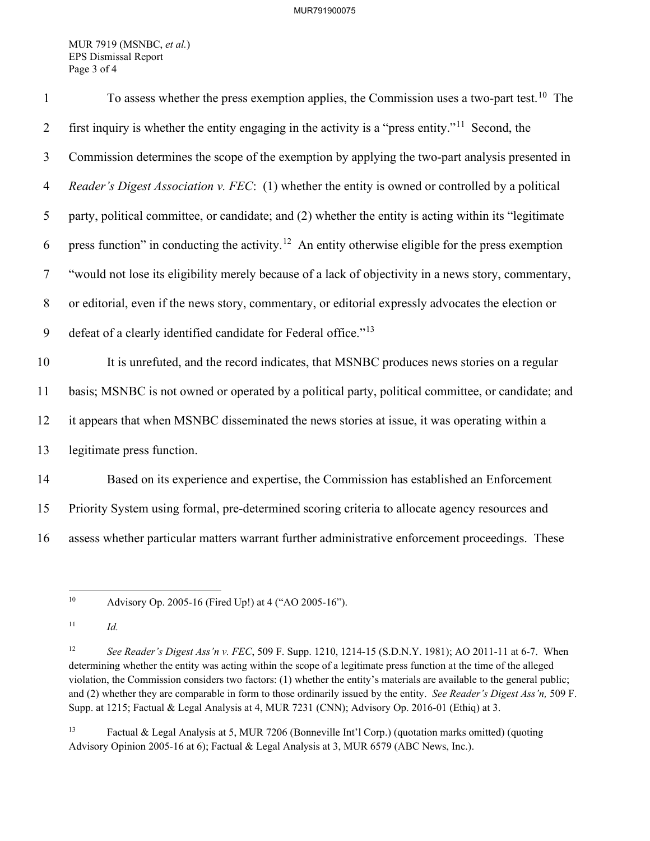MUR 7919 (MSNBC, *et al.*) EPS Dismissal Report Page 3 of 4

| $\mathbf{1}$   | To assess whether the press exemption applies, the Commission uses a two-part test. <sup>10</sup> The          |
|----------------|----------------------------------------------------------------------------------------------------------------|
| $\overline{2}$ | first inquiry is whether the entity engaging in the activity is a "press entity." <sup>11</sup> Second, the    |
| $\mathfrak{Z}$ | Commission determines the scope of the exemption by applying the two-part analysis presented in                |
| $\overline{4}$ | Reader's Digest Association v. FEC: (1) whether the entity is owned or controlled by a political               |
| 5              | party, political committee, or candidate; and (2) whether the entity is acting within its "legitimate          |
| 6              | press function" in conducting the activity. <sup>12</sup> An entity otherwise eligible for the press exemption |
| $\tau$         | "would not lose its eligibility merely because of a lack of objectivity in a news story, commentary,           |
| 8              | or editorial, even if the news story, commentary, or editorial expressly advocates the election or             |
| 9              | defeat of a clearly identified candidate for Federal office." <sup>13</sup>                                    |
| 10             | It is unrefuted, and the record indicates, that MSNBC produces news stories on a regular                       |
| 11             | basis; MSNBC is not owned or operated by a political party, political committee, or candidate; and             |
| 12             | it appears that when MSNBC disseminated the news stories at issue, it was operating within a                   |
| 13             | legitimate press function.                                                                                     |
| 14             | Based on its experience and expertise, the Commission has established an Enforcement                           |
| 15             | Priority System using formal, pre-determined scoring criteria to allocate agency resources and                 |
| 16             | assess whether particular matters warrant further administrative enforcement proceedings. These                |

10 Advisory Op. 2005-16 (Fired Up!) at 4 ("AO 2005-16").

13 Factual & Legal Analysis at 5, MUR 7206 (Bonneville Int'l Corp.) (quotation marks omitted) (quoting Advisory Opinion 2005-16 at 6); Factual & Legal Analysis at 3, MUR 6579 (ABC News, Inc.).

<sup>11</sup> *Id.*

<sup>12</sup> *See Reader's Digest Ass'n v. FEC*, 509 F. Supp. 1210, 1214-15 (S.D.N.Y. 1981); AO 2011-11 at 6-7. When determining whether the entity was acting within the scope of a legitimate press function at the time of the alleged violation, the Commission considers two factors: (1) whether the entity's materials are available to the general public; and (2) whether they are comparable in form to those ordinarily issued by the entity. *See Reader's Digest Ass'n,* 509 F. Supp. at 1215; Factual & Legal Analysis at 4, MUR 7231 (CNN); Advisory Op. 2016-01 (Ethiq) at 3.